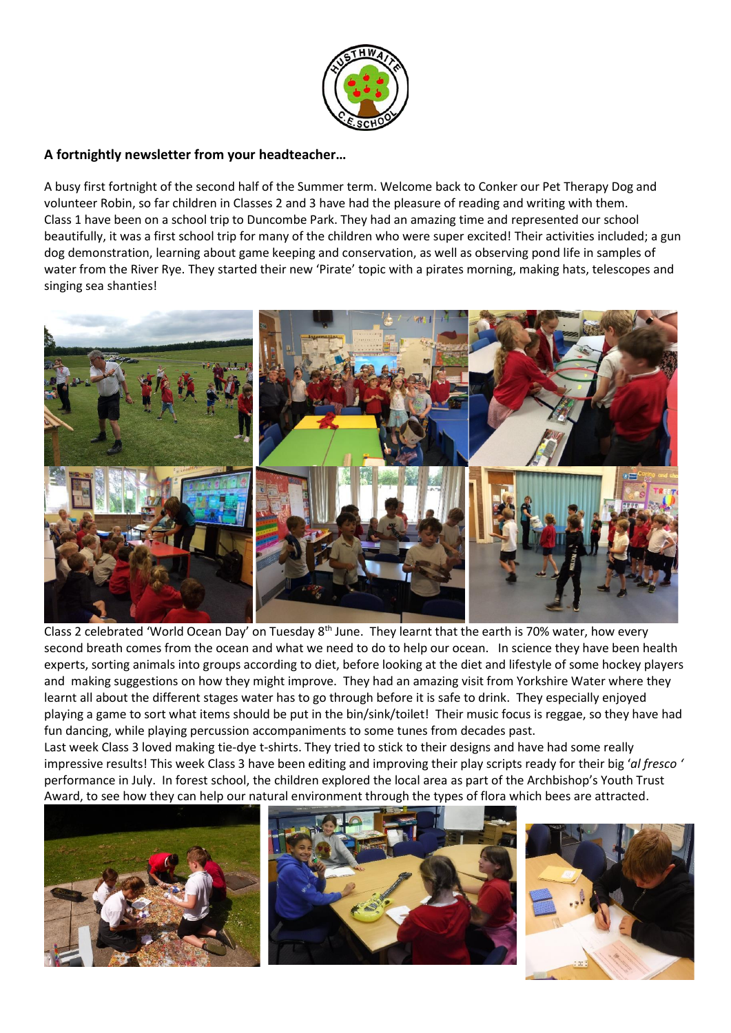

# **A fortnightly newsletter from your headteacher…**

A busy first fortnight of the second half of the Summer term. Welcome back to Conker our Pet Therapy Dog and volunteer Robin, so far children in Classes 2 and 3 have had the pleasure of reading and writing with them. Class 1 have been on a school trip to Duncombe Park. They had an amazing time and represented our school beautifully, it was a first school trip for many of the children who were super excited! Their activities included; a gun dog demonstration, learning about game keeping and conservation, as well as observing pond life in samples of water from the River Rye. They started their new 'Pirate' topic with a pirates morning, making hats, telescopes and singing sea shanties!



Class 2 celebrated 'World Ocean Day' on Tuesday 8<sup>th</sup> June. They learnt that the earth is 70% water, how every second breath comes from the ocean and what we need to do to help our ocean. In science they have been health experts, sorting animals into groups according to diet, before looking at the diet and lifestyle of some hockey players and making suggestions on how they might improve. They had an amazing visit from Yorkshire Water where they learnt all about the different stages water has to go through before it is safe to drink. They especially enjoyed playing a game to sort what items should be put in the bin/sink/toilet! Their music focus is reggae, so they have had fun dancing, while playing percussion accompaniments to some tunes from decades past.

Last week Class 3 loved making tie-dye t-shirts. They tried to stick to their designs and have had some really impressive results! This week Class 3 have been editing and improving their play scripts ready for their big '*al fresco '* performance in July. In forest school, the children explored the local area as part of the Archbishop's Youth Trust Award, to see how they can help our natural environment through the types of flora which bees are attracted.





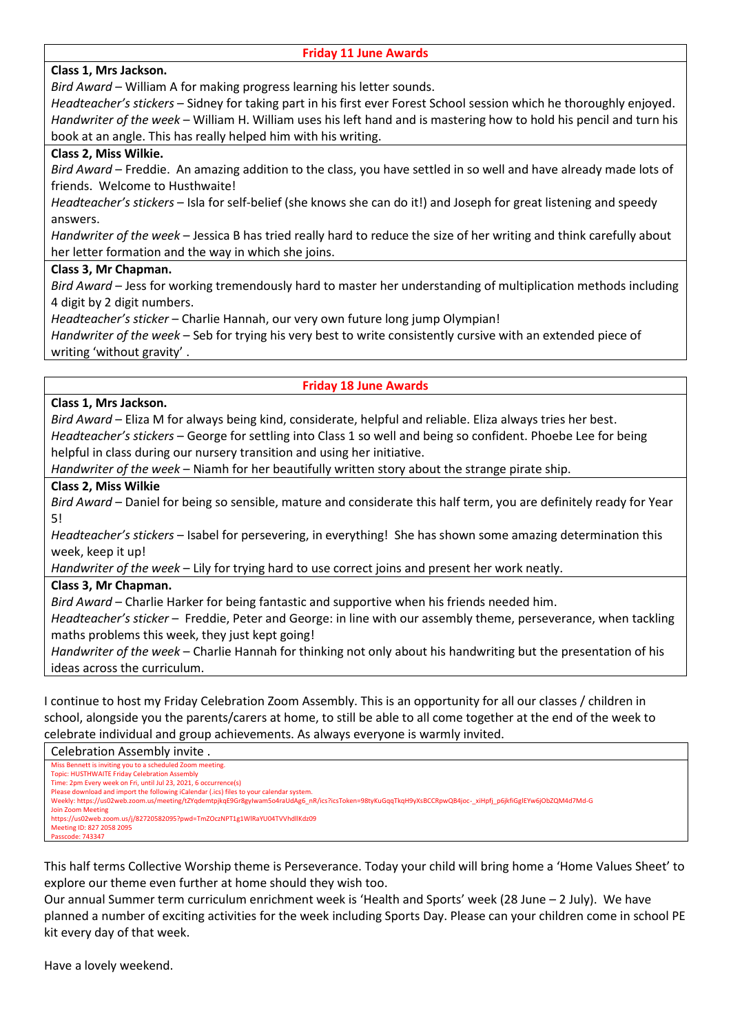| <b>Friday 11 June Awards</b> |
|------------------------------|
|------------------------------|

# **Class 1, Mrs Jackson.**

*Bird Award* – William A for making progress learning his letter sounds.

*Headteacher's stickers* – Sidney for taking part in his first ever Forest School session which he thoroughly enjoyed. *Handwriter of the week* – William H. William uses his left hand and is mastering how to hold his pencil and turn his book at an angle. This has really helped him with his writing.

# **Class 2, Miss Wilkie.**

*Bird Award* – Freddie. An amazing addition to the class, you have settled in so well and have already made lots of friends. Welcome to Husthwaite!

*Headteacher's stickers* – Isla for self-belief (she knows she can do it!) and Joseph for great listening and speedy answers.

*Handwriter of the week* – Jessica B has tried really hard to reduce the size of her writing and think carefully about her letter formation and the way in which she joins.

### **Class 3, Mr Chapman.**

*Bird Award* – Jess for working tremendously hard to master her understanding of multiplication methods including 4 digit by 2 digit numbers.

*Headteacher's sticker* – Charlie Hannah, our very own future long jump Olympian!

*Handwriter of the week* – Seb for trying his very best to write consistently cursive with an extended piece of writing 'without gravity' .

# **Friday 18 June Awards**

### **Class 1, Mrs Jackson.**

*Bird Award* – Eliza M for always being kind, considerate, helpful and reliable. Eliza always tries her best. *Headteacher's stickers* – George for settling into Class 1 so well and being so confident. Phoebe Lee for being helpful in class during our nursery transition and using her initiative.

*Handwriter of the week* – Niamh for her beautifully written story about the strange pirate ship.

### **Class 2, Miss Wilkie**

*Bird Award* – Daniel for being so sensible, mature and considerate this half term, you are definitely ready for Year 5!

*Headteacher's stickers* – Isabel for persevering, in everything! She has shown some amazing determination this week, keep it up!

*Handwriter of the week* – Lily for trying hard to use correct joins and present her work neatly.

### **Class 3, Mr Chapman.**

*Bird Award* – Charlie Harker for being fantastic and supportive when his friends needed him.

*Headteacher's sticker* – Freddie, Peter and George: in line with our assembly theme, perseverance, when tackling maths problems this week, they just kept going!

*Handwriter of the week* – Charlie Hannah for thinking not only about his handwriting but the presentation of his ideas across the curriculum.

I continue to host my Friday Celebration Zoom Assembly. This is an opportunity for all our classes / children in school, alongside you the parents/carers at home, to still be able to all come together at the end of the week to celebrate individual and group achievements. As always everyone is warmly invited.

#### Celebration Assembly invite . Miss Bennett is inviting you to a scheduled Zoom meeting. Topic: HUSTHWAITE Friday Celebration Assembly Time: 2pm Every week on Fri, until Jul 23, 2021, 6 occurrence(s) lease download and import the following iCalendar (.ics) files to your cale Weekly: https://us02web.zoom.us/meeting/tZYqdemtpjkqE9Gr8gyIwam5o4raUdAg6\_nR/ics?icsToken=98tyKuGqqTkqH9yXsBCCRpwQB4joc-\_xiHpfj\_p6jkfiGglEYw6jObZQM4d7Md-G Join Zoom Meeting https://us02web.zoom.us/j/82720582095?pwd=TmZOczNPT1g1WlRaYU04TVVhdllKdz09 Meeting ID: 827 2058 2095 Passcode: 743347

This half terms Collective Worship theme is Perseverance. Today your child will bring home a 'Home Values Sheet' to explore our theme even further at home should they wish too.

Our annual Summer term curriculum enrichment week is 'Health and Sports' week (28 June – 2 July). We have planned a number of exciting activities for the week including Sports Day. Please can your children come in school PE kit every day of that week.

Have a lovely weekend.